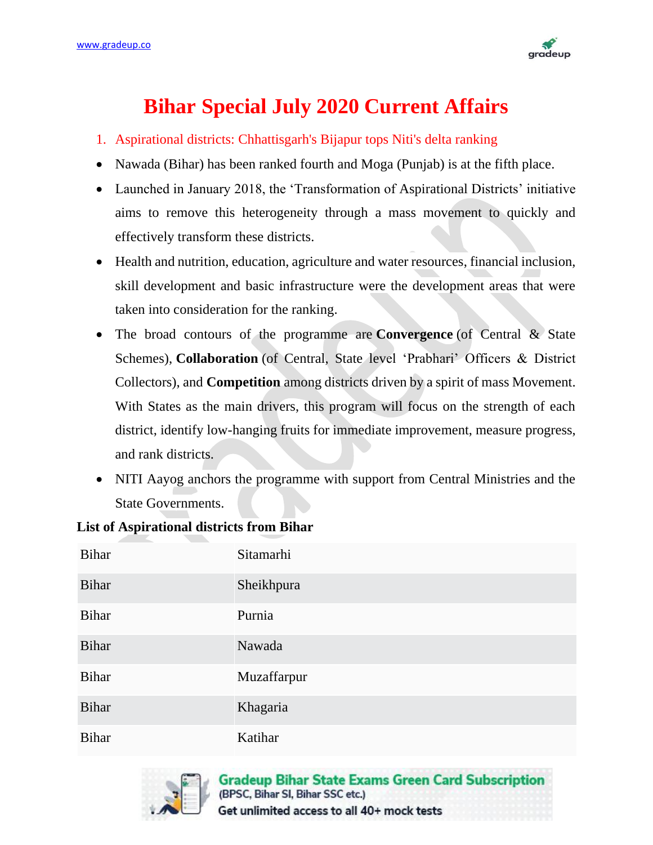

## **Bihar Special July 2020 Current Affairs**

- 1. Aspirational districts: Chhattisgarh's Bijapur tops Niti's delta ranking
- Nawada (Bihar) has been ranked fourth and Moga (Punjab) is at the fifth place.
- Launched in January 2018, the 'Transformation of Aspirational Districts' initiative aims to remove this heterogeneity through a mass movement to quickly and effectively transform these districts.
- Health and nutrition, education, agriculture and water resources, financial inclusion, skill development and basic infrastructure were the development areas that were taken into consideration for the ranking.
- The broad contours of the programme are **Convergence** (of Central & State Schemes), **Collaboration** (of Central, State level 'Prabhari' Officers & District Collectors), and **Competition** among districts driven by a spirit of mass Movement. With States as the main drivers, this program will focus on the strength of each district, identify low-hanging fruits for immediate improvement, measure progress, and rank districts.
- NITI Aayog anchors the programme with support from Central Ministries and the State Governments.

| <b>Bihar</b> | Sitamarhi   |
|--------------|-------------|
| <b>Bihar</b> | Sheikhpura  |
| <b>Bihar</b> | Purnia      |
| <b>Bihar</b> | Nawada      |
| <b>Bihar</b> | Muzaffarpur |
| <b>Bihar</b> | Khagaria    |
| <b>Bihar</b> | Katihar     |

## **List of Aspirational districts from Bihar**

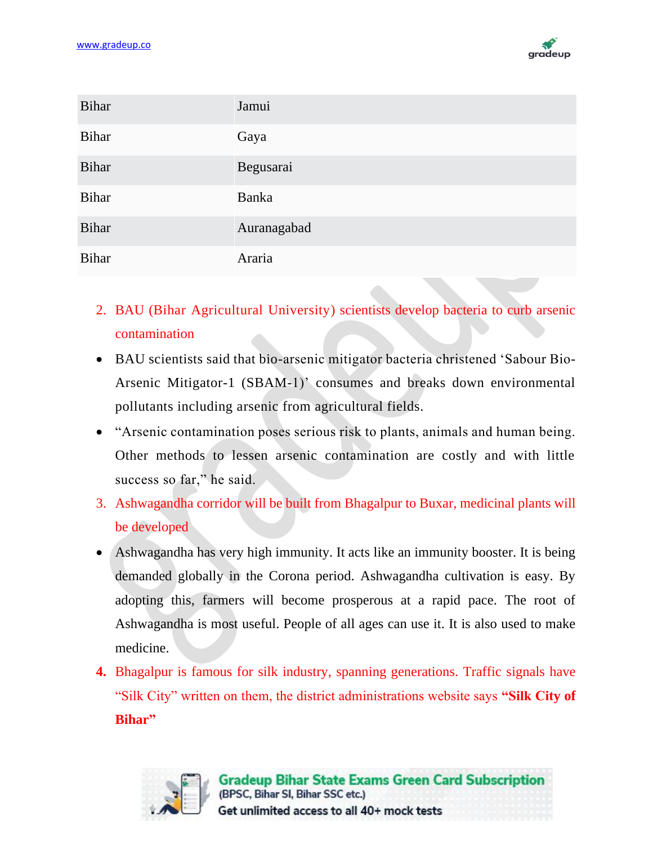

| <b>Bihar</b> | Jamui        |
|--------------|--------------|
| <b>Bihar</b> | Gaya         |
| <b>Bihar</b> | Begusarai    |
| <b>Bihar</b> | <b>Banka</b> |
| <b>Bihar</b> | Auranagabad  |
| <b>Bihar</b> | Araria       |

- 2. BAU (Bihar Agricultural University) scientists develop bacteria to curb arsenic contamination
- BAU scientists said that bio-arsenic mitigator bacteria christened 'Sabour Bio-Arsenic Mitigator-1 (SBAM-1)' consumes and breaks down environmental pollutants including arsenic from agricultural fields.
- "Arsenic contamination poses serious risk to plants, animals and human being. Other methods to lessen arsenic contamination are costly and with little success so far," he said.
- 3. Ashwagandha corridor will be built from Bhagalpur to Buxar, medicinal plants will be developed
- Ashwagandha has very high immunity. It acts like an immunity booster. It is being demanded globally in the Corona period. Ashwagandha cultivation is easy. By adopting this, farmers will become prosperous at a rapid pace. The root of Ashwagandha is most useful. People of all ages can use it. It is also used to make medicine.
- **4.** Bhagalpur is famous for silk industry, spanning generations. Traffic signals have "Silk City" written on them, the district administrations website says **"Silk City of Bihar"**